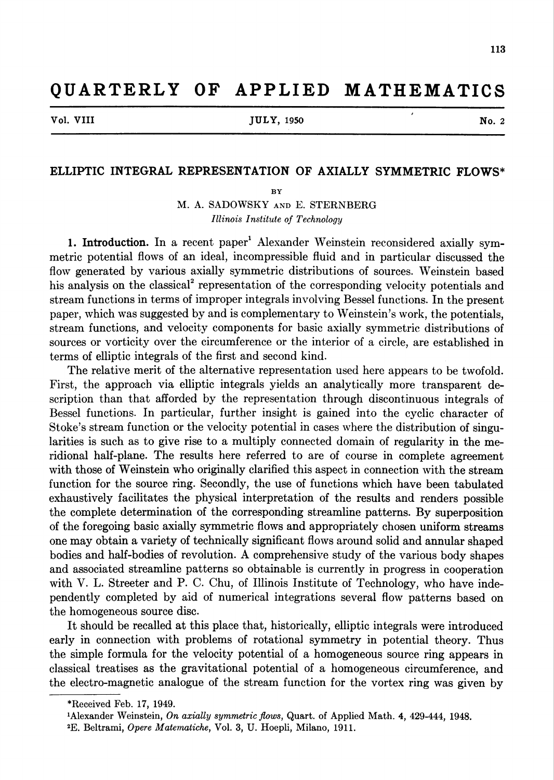## QUARTERLY OF APPLIED MATHEMATICS

Vol. VIII 300 No. 2 No. 2 No. 2 No. 2 No. 2 No. 2 No. 2 No. 2 No. 2 No. 2 No. 2 No. 2 No. 2 No. 2 No. 2 No. 2 No

## ELLIPTIC INTEGRAL REPRESENTATION OF AXIALLY SYMMETRIC FLOWS\*

BY

M. A. SADOWSKY and E. STERNBERG Illinois Institute of Technology

1. Introduction. In a recent paper<sup>1</sup> Alexander Weinstein reconsidered axially symmetric potential flows of an ideal, incompressible fluid and in particular discussed the flow generated by various axially symmetric distributions of sources. Weinstein based his analysis on the classical<sup>2</sup> representation of the corresponding velocity potentials and stream functions in terms of improper integrals involving Bessel functions. In the present paper, which was suggested by and is complementary to Weinstein's work, the potentials, stream functions, and velocity components for basic axially symmetric distributions of sources or vorticity over the circumference or the interior of a circle, are established in terms of elliptic integrals of the first and second kind.

The relative merit of the alternative representation used here appears to be twofold. First, the approach via elliptic integrals yields an analytically more transparent description than that afforded by the representation through discontinuous integrals of Bessel functions. In particular, further insight is gained into the cyclic character of Stoke's stream function or the velocity potential in cases where the distribution of singularities is such as to give rise to a multiply connected domain of regularity in the meridional half-plane. The results here referred to are of course in complete agreement with those of Weinstein who originally clarified this aspect in connection with the stream function for the source ring. Secondly, the use of functions which have been tabulated exhaustively facilitates the physical interpretation of the results and renders possible the complete determination of the corresponding streamline patterns. By superposition of the foregoing basic axially symmetric flows and appropriately chosen uniform streams one may obtain a variety of technically significant flows around solid and annular shaped bodies and half-bodies of revolution. A comprehensive study of the various body shapes and associated streamline patterns so obtainable is currently in progress in cooperation with V. L. Streeter and P. C. Chu, of Illinois Institute of Technology, who have independently completed by aid of numerical integrations several flow patterns based on the homogeneous source disc.

It should be recalled at this place that, historically, elliptic integrals were introduced early in connection with problems of rotational symmetry in potential theory. Thus the simple formula for the velocity potential of a homogeneous source ring appears in classical treatises as the gravitational potential of a homogeneous circumference, and the electro-magnetic analogue of the stream function for the vortex ring was given by

<sup>\*</sup> Received Feb. 17, 1949.

<sup>&#</sup>x27;Alexander Weinstein, On axially symmetric flows, Quart, of Applied Math. 4, 429-444, 1948.

<sup>2</sup>E. Beltrami, Opere Matematiche, Vol. 3, U. Hoepli, Milano, 1911.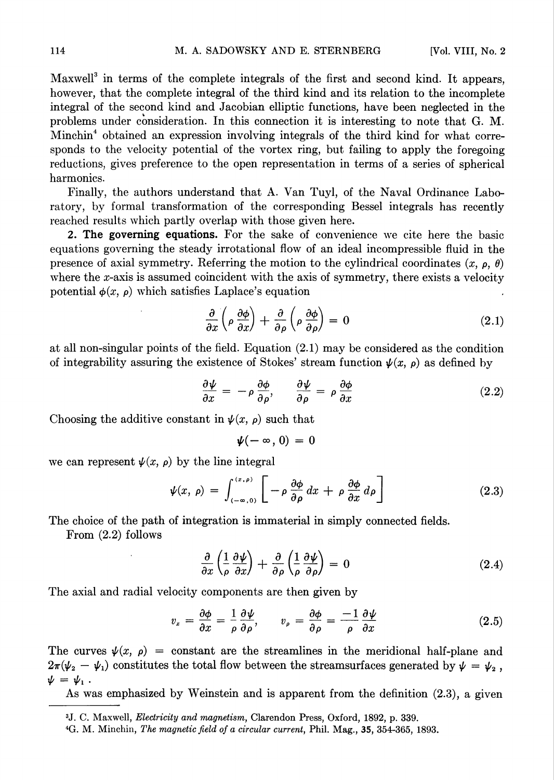Maxwell<sup>3</sup> in terms of the complete integrals of the first and second kind. It appears, however, that the complete integral of the third kind and its relation to the incomplete integral of the second kind and Jacobian elliptic functions, have been neglected in the problems under consideration. In this connection it is interesting to note that G. M. Minchin4 obtained an expression involving integrals of the third kind for what corresponds to the velocity potential of the vortex ring, but failing to apply the foregoing reductions, gives preference to the open representation in terms of a series of spherical harmonics.

Finally, the authors understand that A. Van Tuyl, of the Naval Ordinance Laboratory, by formal transformation of the corresponding Bessel integrals has recently reached results which partly overlap with those given here.

2. The governing equations. For the sake of convenience we cite here the basic equations governing the steady irrotational flow of an ideal incompressible fluid in the presence of axial symmetry. Referring the motion to the cylindrical coordinates  $(x, \rho, \theta)$ where the x-axis is assumed coincident with the axis of symmetry, there exists a velocity potential  $\phi(x, \rho)$  which satisfies Laplace's equation

$$
\frac{\partial}{\partial x}\left(\rho \frac{\partial \phi}{\partial x}\right) + \frac{\partial}{\partial \rho}\left(\rho \frac{\partial \phi}{\partial \rho}\right) = 0 \tag{2.1}
$$

at all non-singular points of the field. Equation (2.1) may be considered as the condition of integrability assuring the existence of Stokes' stream function  $\psi(x, \rho)$  as defined by

$$
\frac{\partial \psi}{\partial x} = -\rho \frac{\partial \phi}{\partial \rho}, \qquad \frac{\partial \psi}{\partial \rho} = \rho \frac{\partial \phi}{\partial x}
$$
 (2.2)

Choosing the additive constant in  $\psi(x, \rho)$  such that

$$
\boldsymbol{\psi}(-\infty,0)=0
$$

we can represent  $\psi(x, \rho)$  by the line integral

$$
\psi(x,\,\rho) \,=\, \int_{(-\infty,\,0)}^{(x,\,\rho)} \left[ \,-\,\rho \,\frac{\partial \phi}{\partial \rho} \,dx \,+\,\rho \,\frac{\partial \phi}{\partial x} \,d\rho \,\right] \tag{2.3}
$$

The choice of the path of integration is immaterial in simply connected fields.

From (2.2) follows

$$
\frac{\partial}{\partial x}\left(\frac{1}{\rho}\frac{\partial\psi}{\partial x}\right) + \frac{\partial}{\partial \rho}\left(\frac{1}{\rho}\frac{\partial\psi}{\partial \rho}\right) = 0
$$
\n(2.4)

The axial and radial velocity components are then given by

$$
v_x = \frac{\partial \phi}{\partial x} = \frac{1}{\rho} \frac{\partial \psi}{\partial \rho}, \qquad v_\rho = \frac{\partial \phi}{\partial \rho} = \frac{-1}{\rho} \frac{\partial \psi}{\partial x}
$$
(2.5)

The curves  $\psi(x, \rho)$  = constant are the streamlines in the meridional half-plane and  $2\pi(\psi_2 - \psi_1)$  constitutes the total flow between the streamsurfaces generated by  $\psi = \psi_2$ ,  $\nu = \nu_{\perp}$ .

As was emphasized by Weinstein and is apparent from the definition (2.3), a given

<sup>3</sup>J. C. Maxwell, Electricity and magnetism, Clarendon Press, Oxford, 1892, p. 339.

<sup>4</sup>G. M. Minchin, The magnetic field of a circular current, Phil. Mag., 35, 354-365, 1893.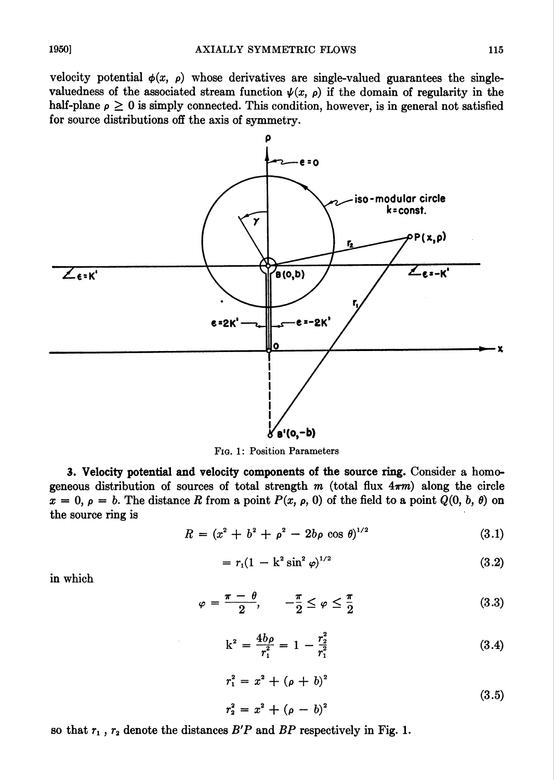velocity potential  $\phi(x, \rho)$  whose derivatives are single-valued guarantees the singlevaluedness of the associated stream function  $\psi(x, \rho)$  if the domain of regularity in the half-plane  $\rho \geq 0$  is simply connected. This condition, however, is in general not satisfied for source distributions off the axis of symmetry.



Fig. 1: Position Parameters

3. Velocity potential and velocity components of the source ring. Consider a homogeneous distribution of sources of total strength m (total flux  $4\pi m$ ) along the circle  $x = 0, \rho = b$ . The distance R from a point  $P(x, \rho, 0)$  of the field to a point  $Q(0, b, \theta)$  on the source ring is

$$
R = (x^2 + b^2 + \rho^2 - 2b\rho \cos \theta)^{1/2}
$$
 (3.1)

$$
= r_1(1 - k^2 \sin^2 \varphi)^{1/2} \tag{3.2}
$$

in which

$$
\varphi = \frac{\pi - \theta}{2}, \qquad -\frac{\pi}{2} \le \varphi \le \frac{\pi}{2} \tag{3.3}
$$

$$
k^2 = \frac{4b\rho}{r_1^2} = 1 - \frac{r_2^2}{r_1^2} \tag{3.4}
$$

$$
r_1^2 = x^2 + (\rho + b)^2
$$
  
\n
$$
r_2^2 = x^2 + (\rho - b)^2
$$
\n(3.5)

so that  $r_1$ ,  $r_2$  denote the distances  $B'P$  and  $BP$  respectively in Fig. 1.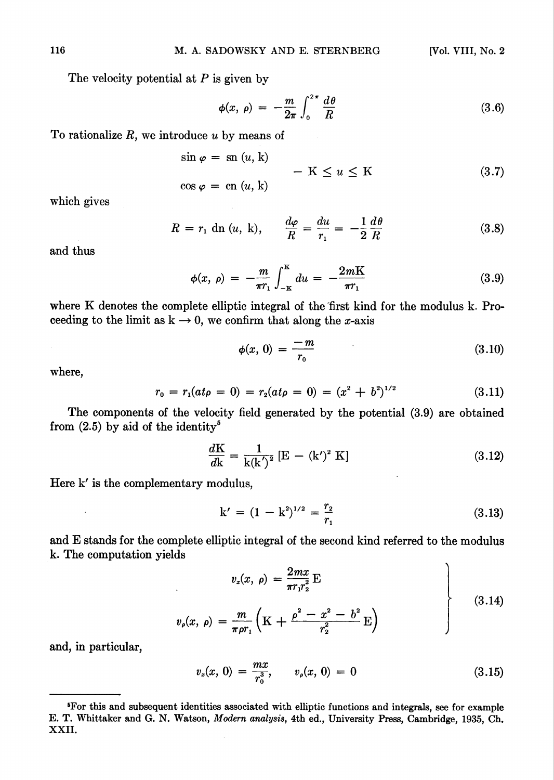The velocity potential at  $P$  is given by

$$
\phi(x, \rho) = -\frac{m}{2\pi} \int_0^{2\pi} \frac{d\theta}{R} \tag{3.6}
$$

To rationalize  $R$ , we introduce  $u$  by means of

$$
\sin \varphi = \text{sn } (u, \, \mathbf{k})
$$
\n
$$
-\mathbf{K} \le u \le \mathbf{K}
$$
\n
$$
\cos \varphi = \text{cn } (u, \, \mathbf{k})
$$
\n(3.7)

which gives

$$
R = r_1 \operatorname{dn}(u, k), \qquad \frac{d\varphi}{R} = \frac{du}{r_1} = -\frac{1}{2} \frac{d\theta}{R}
$$
 (3.8)

and thus

$$
\phi(x, \rho) = -\frac{m}{\pi r_1} \int_{-\kappa}^{K} du = -\frac{2mK}{\pi r_1}
$$
\n(3.9)

where K denotes the complete elliptic integral of the first kind for the modulus k. Proceeding to the limit as  $k \rightarrow 0$ , we confirm that along the *x*-axis

$$
\phi(x, 0) = \frac{-m}{r_0} \tag{3.10}
$$

where,

$$
r_0 = r_1(at\rho = 0) = r_2(at\rho = 0) = (x^2 + b^2)^{1/2}
$$
\n(3.11)

The components of the velocity field generated by the potential (3.9) are obtained from  $(2.5)$  by aid of the identity<sup>5</sup>

$$
\frac{dK}{dk} = \frac{1}{k(k')^2} [E - (k')^2 K]
$$
 (3.12)

Here k' is the complementary modulus,

$$
k' = (1 - k^2)^{1/2} = \frac{r_2}{r_1}
$$
 (3.13)

and E stands for the complete elliptic integral of the second kind referred to the modulus k. The computation yields

$$
v_x(x, \rho) = \frac{2mx}{\pi r_1 r_2^2} \mathbf{E}
$$
  

$$
v_\rho(x, \rho) = \frac{m}{\pi \rho r_1} \left( \mathbf{K} + \frac{\rho^2 - x^2 - b^2}{r_2^2} \mathbf{E} \right)
$$
 (3.14)

and, in particular,

$$
v_x(x, 0) = \frac{mx}{r_0^3}, \qquad v_\rho(x, 0) = 0 \tag{3.15}
$$

Tor this and subsequent identities associated with elliptic functions and integrals, see for example E. T. Whittaker and G. N. Watson, Modern analysis, 4th ed., University Press, Cambridge, 1935, Ch. XXII.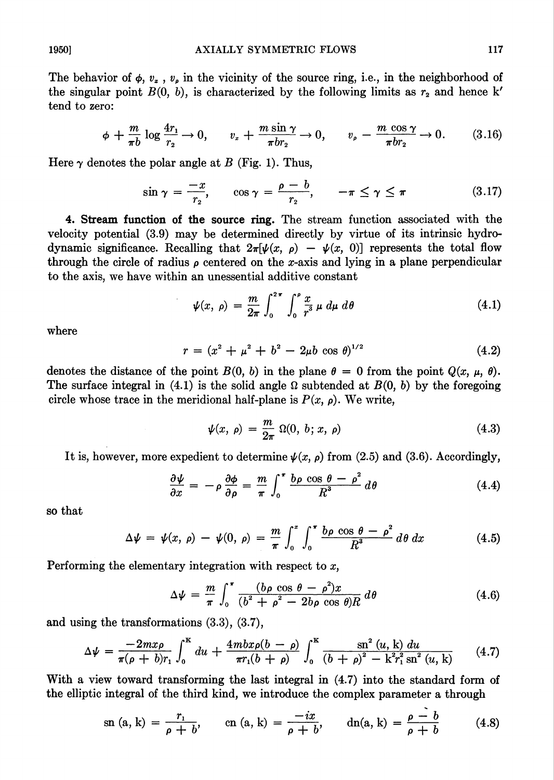The behavior of  $\phi$ ,  $v_z$ ,  $v_\rho$  in the vicinity of the source ring, i.e., in the neighborhood of the singular point  $B(0, b)$ , is characterized by the following limits as  $r<sub>2</sub>$  and hence k' tend to zero:

$$
\phi + \frac{m}{\pi b} \log \frac{4r_1}{r_2} \to 0, \qquad v_x + \frac{m \sin \gamma}{\pi b r_2} \to 0, \qquad v_\rho - \frac{m \cos \gamma}{\pi b r_2} \to 0. \tag{3.16}
$$

Here  $\gamma$  denotes the polar angle at B (Fig. 1). Thus,

$$
\sin \gamma = \frac{-x}{r_2}, \qquad \cos \gamma = \frac{\rho - b}{r_2}, \qquad -\pi \le \gamma \le \pi \tag{3.17}
$$

4. Stream function of the source ring. The stream function associated with the velocity potential (3.9) may be determined directly by virtue of its intrinsic hydrodynamic significance. Recalling that  $2\pi[\psi(x, \rho) - \psi(x, 0)]$  represents the total flow through the circle of radius  $\rho$  centered on the x-axis and lying in a plane perpendicular to the axis, we have within an unessential additive constant

$$
\psi(x, \rho) = \frac{m}{2\pi} \int_0^{2\pi} \int_0^{\rho} \frac{x}{r^3} \mu \, d\mu \, d\theta \tag{4.1}
$$

where

$$
r = (x^2 + \mu^2 + b^2 - 2\mu b \cos \theta)^{1/2}
$$
 (4.2)

denotes the distance of the point  $B(0, b)$  in the plane  $\theta = 0$  from the point  $Q(x, \mu, \theta)$ . The surface integral in (4.1) is the solid angle  $\Omega$  subtended at  $B(0, b)$  by the foregoing circle whose trace in the meridional half-plane is  $P(x, \rho)$ . We write,

$$
\psi(x, \rho) = \frac{m}{2\pi} \Omega(0, b; x, \rho) \tag{4.3}
$$

It is, however, more expedient to determine  $\psi(x, \rho)$  from (2.5) and (3.6). Accordingly,

$$
\frac{\partial \psi}{\partial x} = -\rho \frac{\partial \phi}{\partial \rho} = \frac{m}{\pi} \int_0^{\pi} \frac{b \rho \cos \theta - \rho^2}{R^3} d\theta \qquad (4.4)
$$

so that

$$
\Delta \psi = \psi(x, \rho) - \psi(0, \rho) = \frac{m}{\pi} \int_0^x \int_0^{\pi} \frac{b \rho \cos \theta - \rho^2}{R^3} d\theta \, dx \tag{4.5}
$$

Performing the elementary integration with respect to  $x$ ,

$$
\Delta \psi = \frac{m}{\pi} \int_0^{\pi} \frac{(b\rho \cos \theta - \rho^2)x}{(b^2 + \rho^2 - 2b\rho \cos \theta)R} d\theta \qquad (4.6)
$$

and using the transformations (3.3), (3.7),

$$
\Delta \psi = \frac{-2m x \rho}{\pi (\rho + b) r_1} \int_0^K du + \frac{4m b x \rho (b - \rho)}{\pi r_1 (b + \rho)} \int_0^K \frac{\text{sn}^2 (u, \text{k}) du}{(b + \rho)^2 - \text{k}^2 r_1^2 \text{ sn}^2 (u, \text{k})} \qquad (4.7)
$$

With a view toward transforming the last integral in (4.7) into the standard form of the elliptic integral of the third kind, we introduce the complex parameter a through

$$
\text{sn } (\text{a, k}) = \frac{r_1}{\rho + b}, \qquad \text{cn } (\text{a, k}) = \frac{-ix}{\rho + b}, \qquad \text{dn}(\text{a, k}) = \frac{\rho - b}{\rho + b} \tag{4.8}
$$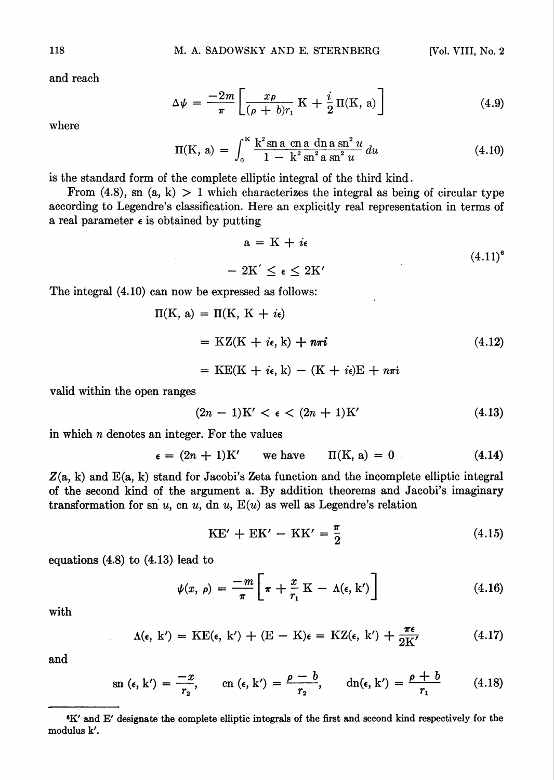and reach

$$
\Delta \psi = \frac{-2m}{\pi} \left[ \frac{x\rho}{(\rho + b)r_1} \mathbf{K} + \frac{i}{2} \mathbf{\Pi}(\mathbf{K}, \mathbf{a}) \right]
$$
(4.9)

where

$$
\Pi(K, a) = \int_0^K \frac{k^2 \sin a \, \cosh a \, \sin^2 u}{1 - k^2 \sin^2 a \, \sin^2 u} \, du \tag{4.10}
$$

is the standard form of the complete elliptic integral of the third kind.

From  $(4.8)$ , sn  $(a, k) > 1$  which characterizes the integral as being of circular type according to Legendre's classification. Here an explicitly real representation in terms of a real parameter  $\epsilon$  is obtained by putting

$$
a = K + i\epsilon
$$
  
- 2K'  $\leq \epsilon \leq 2K'$  (4.11)<sup>6</sup>

The integral (4.10) can now be expressed as follows:

$$
\Pi(K, a) = \Pi(K, K + i\epsilon)
$$
  
= KZ(K + i\epsilon, k) + n\pi i (4.12)  
= KE(K + i\epsilon, k) - (K + i\epsilon)E + n\pi i

valid within the open ranges

$$
(2n-1)K' < \epsilon < (2n+1)K' \tag{4.13}
$$

in which n denotes an integer. For the values

$$
\epsilon = (2n + 1)K' \qquad \text{we have} \qquad \Pi(K, a) = 0 \tag{4.14}
$$

 $Z(a, k)$  and  $E(a, k)$  stand for Jacobi's Zeta function and the incomplete elliptic integral of the second kind of the argument a. By addition theorems and Jacobi's imaginary transformation for sn u, cn u, dn u,  $E(u)$  as well as Legendre's relation

$$
KE' + EK' - KK' = \frac{\pi}{2}
$$
 (4.15)

equations (4.8) to (4.13) lead to

$$
\psi(x, \rho) = \frac{-m}{\pi} \left[ \pi + \frac{x}{r_1} \mathbf{K} - \Lambda(\epsilon, \mathbf{k}') \right] \tag{4.16}
$$

with

$$
\Lambda(\epsilon, k') = \mathrm{KE}(\epsilon, k') + (\mathrm{E} - \mathrm{K})\epsilon = \mathrm{KZ}(\epsilon, k') + \frac{\pi\epsilon}{2\mathrm{K'}} \tag{4.17}
$$

and

$$
\mathrm{sn}\;(\epsilon,\mathrm{k}')=\frac{-x}{r_2},\qquad \mathrm{cn}\;(\epsilon,\mathrm{k}')=\frac{\rho-b}{r_2},\qquad \mathrm{dn}(\epsilon,\mathrm{k}')=\frac{\rho+b}{r_1}\qquad \quad (4.18)
$$

<sup>6</sup>K' and E' designate the complete elliptic integrals of the first and second kind respectively for the modulus k'.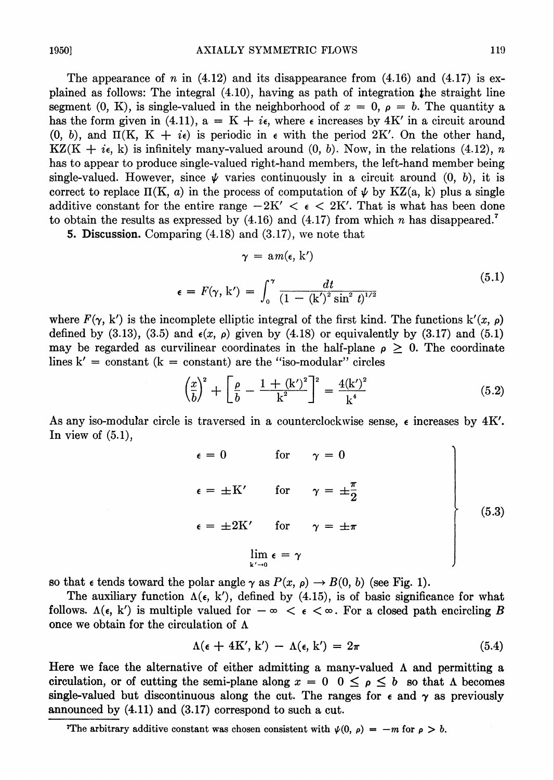The appearance of n in  $(4.12)$  and its disappearance from  $(4.16)$  and  $(4.17)$  is explained as follows: The integral (4.10), having as path of integration the straight line segment (0, K), is single-valued in the neighborhood of  $x = 0$ ,  $\rho = b$ . The quantity a has the form given in (4.11),  $a = K + i\epsilon$ , where  $\epsilon$  increases by 4K' in a circuit around (0, b), and  $\Pi(K, K + i\epsilon)$  is periodic in  $\epsilon$  with the period 2K'. On the other hand,  $KZ(K + i\epsilon, k)$  is infinitely many-valued around  $(0, b)$ . Now, in the relations (4.12), n has to appear to produce single-valued right-hand members, the left-hand member being single-valued. However, since  $\psi$  varies continuously in a circuit around (0, b), it is correct to replace  $\Pi(K, a)$  in the process of computation of  $\psi$  by KZ(a, k) plus a single additive constant for the entire range  $-2K' < \epsilon < 2K'$ . That is what has been done to obtain the results as expressed by  $(4.16)$  and  $(4.17)$  from which n has disappeared.<sup>7</sup>

5. Discussion. Comparing (4.18) and (3.17), we note that

$$
\gamma = am(\epsilon, k')
$$
  

$$
\epsilon = F(\gamma, k') = \int_0^{\gamma} \frac{dt}{(1 - (k')^2 \sin^2 t)^{1/2}}
$$
(5.1)

where  $F(\gamma, k')$  is the incomplete elliptic integral of the first kind. The functions  $k'(x, \rho)$ defined by (3.13), (3.5) and  $\epsilon(x, \rho)$  given by (4.18) or equivalently by (3.17) and (5.1) may be regarded as curvilinear coordinates in the half-plane  $\rho \geq 0$ . The coordinate lines  $k' = constant (k = constant)$  are the "iso-modular" circles

$$
\left(\frac{x}{b}\right)^2 + \left[\frac{\rho}{b} - \frac{1 + (k')^2}{k^2}\right]^2 = \frac{4(k')^2}{k^4} \tag{5.2}
$$

As any iso-modular circle is traversed in a counterclockwise sense,  $\epsilon$  increases by 4K'. In view of  $(5.1)$ ,

$$
\epsilon = 0 \quad \text{for} \quad \gamma = 0
$$
\n
$$
\epsilon = \pm K' \quad \text{for} \quad \gamma = \pm \frac{\pi}{2}
$$
\n
$$
\epsilon = \pm 2K' \quad \text{for} \quad \gamma = \pm \pi
$$
\n
$$
\lim_{k' \to 0} \epsilon = \gamma
$$
\n(5.3)

so that  $\epsilon$  tends toward the polar angle  $\gamma$  as  $P(x, \rho) \to B(0, b)$  (see Fig. 1).

The auxiliary function  $\Lambda(\epsilon, k')$ , defined by (4.15), is of basic significance for what follows.  $\Lambda(\epsilon, k')$  is multiple valued for  $-\infty < \epsilon < \infty$ . For a closed path encircling B once we obtain for the circulation of  $\Lambda$ 

$$
\Lambda(\epsilon + 4K', k') - \Lambda(\epsilon, k') = 2\pi \tag{5.4}
$$

Here we face the alternative of either admitting a many-valued  $\Lambda$  and permitting a circulation, or of cutting the semi-plane along  $x = 0$   $0 \le \rho \le b$  so that  $\Lambda$  becomes single-valued but discontinuous along the cut. The ranges for  $\epsilon$  and  $\gamma$  as previously announced by (4.11) and (3.17) correspond to such a cut.

The arbitrary additive constant was chosen consistent with  $\psi(0, \rho) = -m$  for  $\rho > b$ .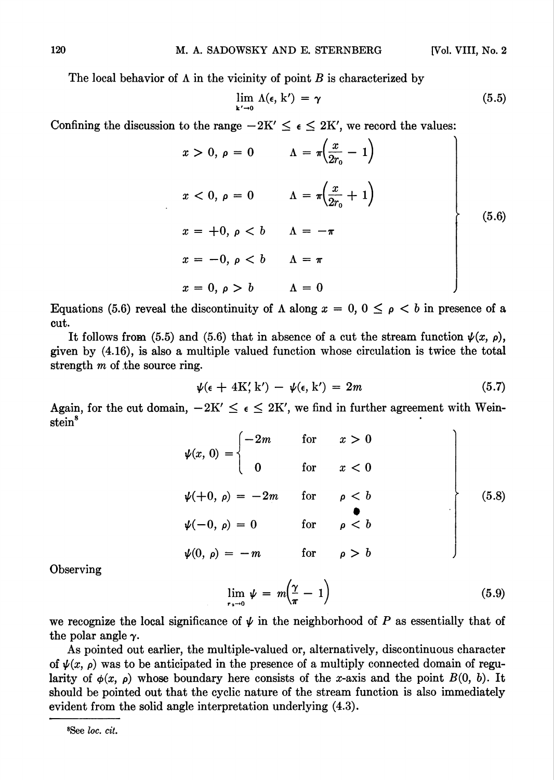The local behavior of  $\Lambda$  in the vicinity of point  $B$  is characterized by

$$
\lim_{k'\to 0} \Lambda(\epsilon, k') = \gamma \tag{5.5}
$$

Contining the discussion to the range 
$$
-2K' \leq \epsilon \leq 2K'
$$
, we record the values:

\n
$$
x > 0, \, \rho = 0 \qquad \Lambda = \pi \left( \frac{x}{2r_0} - 1 \right)
$$
\n
$$
x < 0, \, \rho = 0 \qquad \Lambda = \pi \left( \frac{x}{2r_0} + 1 \right)
$$
\n
$$
x = +0, \, \rho < b \qquad \Lambda = -\pi
$$
\n
$$
x = -0, \, \rho < b \qquad \Lambda = \pi
$$
\n
$$
x = 0, \, \rho > b \qquad \Lambda = 0
$$
\n(5.6)

Equations (5.6) reveal the discontinuity of  $\Lambda$  along  $x = 0, 0 \leq \rho < b$  in presence of a cut.

It follows from (5.5) and (5.6) that in absence of a cut the stream function  $\psi(x, \rho)$ , given by (4.16), is also a multiple valued function whose circulation is twice the total strength  $m$  of the source ring.

$$
\psi(\epsilon + 4K', k') - \psi(\epsilon, k') = 2m \tag{5.7}
$$

Again, for the cut domain,  $-2K' \leq \epsilon \leq 2K'$ , we find in further agreement with Weinstein<sup>8</sup>

$$
\psi(x, 0) = \begin{cases}\n-2m & \text{for } x > 0 \\
0 & \text{for } x < 0\n\end{cases}
$$
\n
$$
\psi(+0, \rho) = -2m \quad \text{for } \rho < b
$$
\n
$$
\psi(-0, \rho) = 0 \quad \text{for } \rho < b
$$
\n
$$
\psi(0, \rho) = -m \quad \text{for } \rho > b
$$
\n(5.8)

**Observing** 

$$
\lim_{r_{\alpha}\to 0} \psi = m\left(\frac{\gamma}{\pi} - 1\right) \tag{5.9}
$$

we recognize the local significance of  $\psi$  in the neighborhood of P as essentially that of the polar angle  $\gamma$ .

As pointed out earlier, the multiple-valued or, alternatively, discontinuous character of  $\psi(x, \rho)$  was to be anticipated in the presence of a multiply connected domain of regularity of  $\phi(x, \rho)$  whose boundary here consists of the x-axis and the point  $B(0, b)$ . It should be pointed out that the cyclic nature of the stream function is also immediately evident from the solid angle interpretation underlying (4.3).

 $8$ See loc. cit.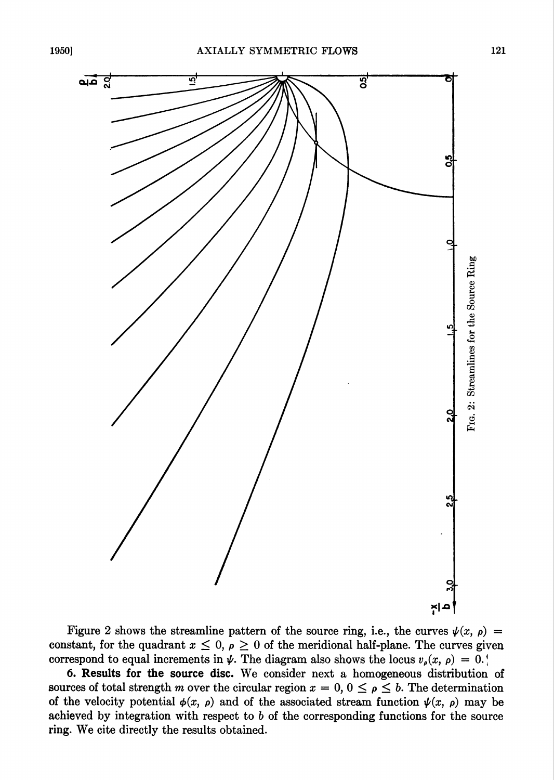

Figure 2 shows the streamline pattern of the source ring, i.e., the curves  $\psi(x, \rho)$  = constant, for the quadrant  $x \leq 0$ ,  $\rho \geq 0$  of the meridional half-plane. The curves given correspond to equal increments in  $\psi$ . The diagram also shows the locus  $v_s(x, \rho) = 0. \dot{x}$ 

6. Results for the source disc. We consider next a homogeneous distribution of sources of total strength m over the circular region  $x = 0, 0 \le \rho \le b$ . The determination of the velocity potential  $\phi(x, \rho)$  and of the associated stream function  $\psi(x, \rho)$  may be achieved by integration with respect to  $b$  of the corresponding functions for the source ring. We cite directly the results obtained.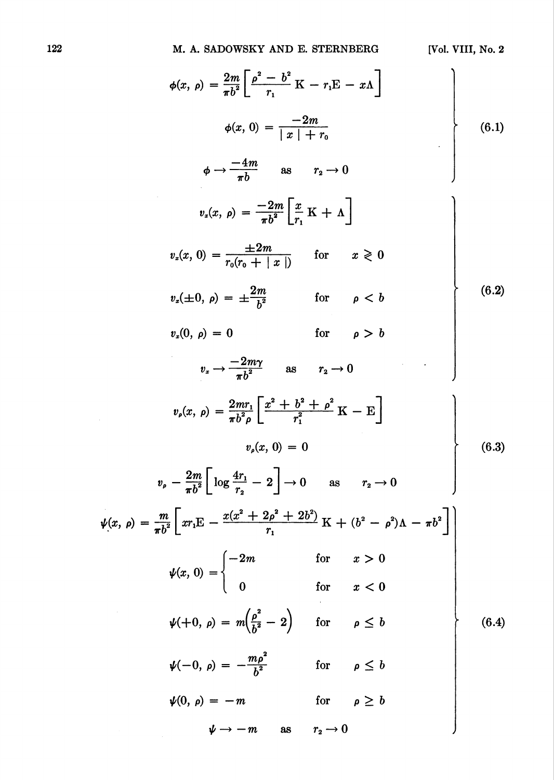| $\phi(x, \rho) = \frac{2m}{\pi h^2} \left[ \frac{\rho^2 - b^2}{r} K - r_1 E - x \Lambda \right]$                                                                 |       |
|------------------------------------------------------------------------------------------------------------------------------------------------------------------|-------|
| $\phi(x, 0) = \frac{-2m}{ x  + r_0}$                                                                                                                             | (6.1) |
| $\phi \rightarrow \frac{-4m}{\pi h}$ as $r_2 \rightarrow 0$                                                                                                      |       |
| $v_x(x, \rho) = \frac{-2m}{\pi h^2} \left[ \frac{x}{r} \mathbf{K} + \Lambda \right]$                                                                             |       |
| $v_x(x, 0) = \frac{\pm 2m}{r_0(r_0 +  x )}$ for $x \ge 0$                                                                                                        |       |
| $v_x(\pm 0, \rho) = \pm \frac{2m}{h^2}$<br>for $\rho < b$                                                                                                        | (6.2) |
| for $\rho > b$<br>$v_x(0, \rho) = 0$                                                                                                                             |       |
| $v_x \rightarrow \frac{-2m\gamma}{h^2}$ as $r_2 \rightarrow 0$                                                                                                   |       |
| $v_{\rho}(x, \rho) = \frac{2mr_1}{\pi h^2 \rho} \left[ \frac{x^2 + b^2 + \rho^2}{r^2} K - E \right]$                                                             |       |
| $v_{\rm o}(x, 0) = 0$                                                                                                                                            | (6.3) |
| $v_{\rho} - \frac{2m}{\pi b^2} \left[ \log \frac{4r_1}{r_1} - 2 \right] \rightarrow 0$ as $r_2 \rightarrow 0$                                                    |       |
| $\psi(x, \rho) = \frac{m}{\pi b^2} \left[ x r_1 \mathbf{E} - \frac{x(x^2 + 2\rho^2 + 2b^2)}{r_1} \mathbf{K} + (b^2 - \rho^2) \mathbf{\Lambda} - \pi b^2 \right]$ |       |
| $\begin{aligned} &\text{for} &\quad x>0\\ &\text{for} &\quad x<0 \end{aligned}$<br>$\psi(x, 0) = \begin{cases} -2m \\ 0 \end{cases}$                             |       |
|                                                                                                                                                                  |       |
| $\psi(+0, \rho) = m\left(\frac{\rho^2}{h^2} - 2\right)$ for $\rho \leq b$                                                                                        | (6.4) |
| $\psi(-0, \rho) = -\frac{m \rho^2}{h^2}$<br>for $\rho \leq b$                                                                                                    |       |
| for $\rho \geq b$<br>$\psi(0, \rho) = -m$                                                                                                                        |       |
| $r_{2}\rightarrow 0$<br>$\psi \rightarrow -m$<br>as                                                                                                              |       |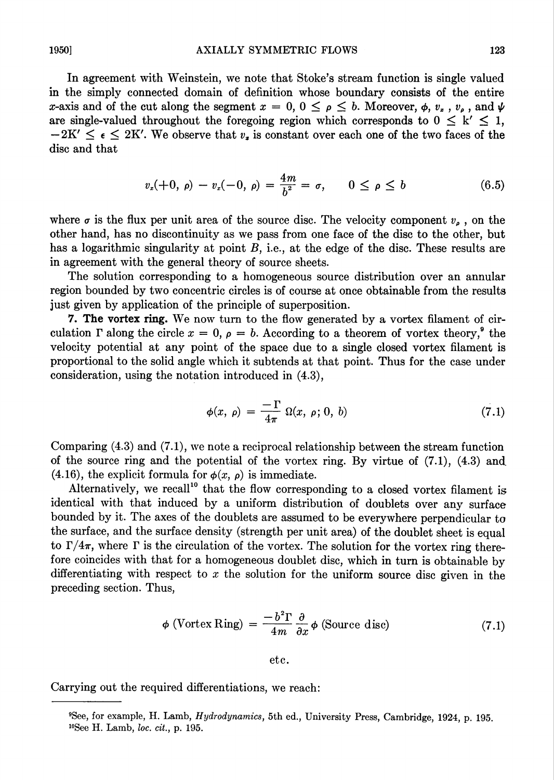In agreement with Weinstein, we note that Stoke's stream function is single valued in the simply connected domain of definition whose boundary consists of the entire x-axis and of the cut along the segment  $x = 0, 0 \leq \rho \leq b$ . Moreover,  $\phi, v_x, v_{\rho}$ , and  $\psi$ are single-valued throughout the foregoing region which corresponds to  $0 \leq k' \leq 1$ ,  $-2K' \leq \epsilon \leq 2K'$ . We observe that  $v_x$  is constant over each one of the two faces of the disc and that

$$
v_x(+0, \rho) - v_x(-0, \rho) = \frac{4m}{b^2} = \sigma, \qquad 0 \le \rho \le b \tag{6.5}
$$

where  $\sigma$  is the flux per unit area of the source disc. The velocity component  $v_{\rho}$ , on the other hand, has no discontinuity as we pass from one face of the disc to the other, but has a logarithmic singularity at point  $B$ , i.e., at the edge of the disc. These results are in agreement with the general theory of source sheets.

The solution corresponding to a homogeneous source distribution over an annular region bounded by two concentric circles is of course at once obtainable from the results just given by application of the principle of superposition.

7. The vortex ring. We now turn to the flow generated by a vortex filament of circulation  $\Gamma$  along the circle  $x = 0$ ,  $\rho = b$ . According to a theorem of vortex theory,<sup>9</sup> the velocity potential at any point of the space due to a single closed vortex filament is proportional to the solid angle which it subtends at that point. Thus for the case under consideration, using the notation introduced in (4.3),

$$
\phi(x, \rho) = \frac{-\Gamma}{4\pi} \Omega(x, \rho; 0, b) \tag{7.1}
$$

Comparing (4.3) and (7.1), we note a reciprocal relationship between the stream function of the source ring and the potential of the vortex ring. By virtue of (7.1), (4.3) and. (4.16), the explicit formula for  $\phi(x, \rho)$  is immediate.

Alternatively, we recall<sup>10</sup> that the flow corresponding to a closed vortex filament is identical with that induced by a uniform distribution of doublets over any surface bounded by it. The axes of the doublets are assumed to be everywhere perpendicular to the surface, and the surface density (strength per unit area) of the doublet sheet is equal to  $\Gamma/4\pi$ , where  $\Gamma$  is the circulation of the vortex. The solution for the vortex ring therefore coincides with that for a homogeneous doublet disc, which in turn is obtainable by differentiating with respect to  $x$  the solution for the uniform source disc given in the preceding section. Thus,

$$
\phi \text{ (Vortex Ring)} = \frac{-b^2 \Gamma}{4m} \frac{\partial}{\partial x} \phi \text{ (Source disc)} \tag{7.1}
$$

etc.

Carrying out the required differentiations, we reach:

<sup>&</sup>quot;See, for example, H. Lamb, Hydrodynamics, 5th ed., University Press, Cambridge, 1924, p. 195.  $10$ See H. Lamb, loc. cit., p. 195.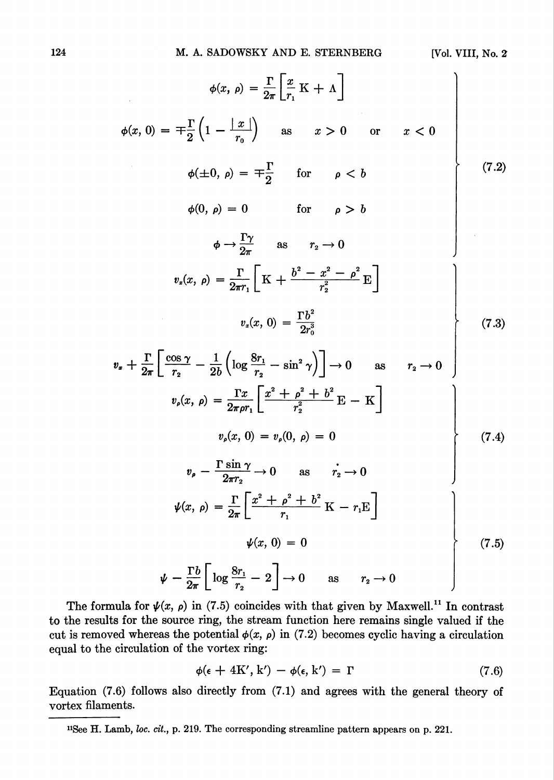$$
\phi(x, \rho) = \frac{\Gamma}{2\pi} \left[ \frac{x}{r_1} \mathbf{K} + \mathbf{\Lambda} \right]
$$
  
\n
$$
\phi(x, 0) = \mp \frac{\Gamma}{2} \left( 1 - \frac{|x|}{r_0} \right) \text{ as } x > 0 \text{ or } x < 0
$$
  
\n
$$
\phi(\pm 0, \rho) = \mp \frac{\Gamma}{2} \text{ for } \rho < b
$$
  
\n
$$
\phi(0, \rho) = 0 \text{ for } \rho > b
$$
  
\n
$$
\phi \rightarrow \frac{\Gamma \gamma}{2\pi} \text{ as } r_2 \rightarrow 0
$$
  
\n
$$
v_x(x, \rho) = \frac{\Gamma}{2\pi r_1} \left[ \mathbf{K} + \frac{b^2 - x^2 - \rho^2}{r_2^2} \mathbf{E} \right]
$$
  
\n
$$
v_x(x, 0) = \frac{\Gamma b^2}{2r_0^3}
$$
  
\n
$$
v_x(x, 0) = \frac{\Gamma b^2}{2r_0^3}
$$
  
\n
$$
v_x(x, 0) = \frac{\Gamma b^2}{2r_0^3}
$$
  
\n
$$
v_y(x, \rho) = \frac{\Gamma x}{2\pi \rho r_1} \left[ \frac{x^2 + \rho^2 + b^2}{r_2^2} \mathbf{E} - \mathbf{K} \right]
$$
  
\n
$$
v_y(x, 0) = v_y(0, \rho) = 0
$$
  
\n
$$
v_p - \frac{\Gamma \sin \gamma}{2\pi r_2} \rightarrow 0 \text{ as } r_2 \rightarrow 0
$$
  
\n
$$
\psi(x, 0) = 0
$$
  
\n
$$
\psi(x, 0) = 0
$$
  
\n
$$
\psi(x, 0) = 0
$$
  
\n
$$
\psi(x, 0) = 0
$$
  
\n
$$
\psi(x, 0) = 0
$$
  
\n
$$
\psi(x, 0) = 0
$$
  
\n
$$
\psi(x, 0) = 0
$$
  
\n
$$
\psi(x, 0) = 0
$$
  
\n
$$
\psi(x, 0) = 0
$$
  
\n
$$
\psi(x, 0) = 0
$$
  
\n<

The formula for  $\psi(x, \rho)$  in (7.5) coincides with that given by Maxwell.<sup>11</sup> In contrast to the results for the source ring, the stream function here remains single valued if the cut is removed whereas the potential  $\phi(x, \rho)$  in (7.2) becomes cyclic having a circulation equal to the circulation of the vortex ring:

$$
\phi(\epsilon + 4K', k') - \phi(\epsilon, k') = \Gamma \tag{7.6}
$$

Equation (7.6) follows also directly from (7.1) and agrees with the general theory of vortex filaments.

<sup>&</sup>lt;sup>11</sup>See H. Lamb, *loc. cit.*, p. 219. The corresponding streamline pattern appears on p. 221.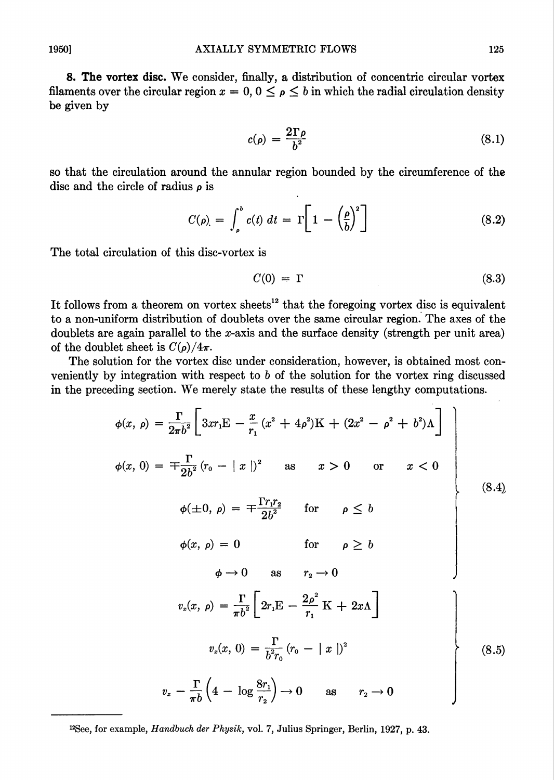8. The vortex disc. We consider, finally, a distribution of concentric circular vortex filaments over the circular region  $x = 0, 0 \leq \rho \leq b$  in which the radial circulation density be given by

$$
c(\rho) = \frac{2\Gamma\rho}{b^2} \tag{8.1}
$$

so that the circulation around the annular region bounded by the circumference of the disc and the circle of radius  $\rho$  is

$$
C(\rho) = \int_{\rho}^{b} c(t) dt = \Gamma \left[ 1 - \left( \frac{\rho}{b} \right)^{2} \right]
$$
 (8.2)

The total circulation of this disc-vortex is

$$
C(0) = \Gamma \tag{8.3}
$$

It follows from a theorem on vortex sheets<sup>12</sup> that the foregoing vortex disc is equivalent to a non-uniform distribution of doublets over the same circular region. The axes of the doublets are again parallel to the x-axis and the surface density (strength per unit area) of the doublet sheet is  $C(\rho)/4\pi$ .

The solution for the vortex disc under consideration, however, is obtained most conveniently by integration with respect to b of the solution for the vortex ring discussed in the preceding section. We merely state the results of these lengthy computations.

$$
\phi(x, \rho) = \frac{\Gamma}{2\pi b^2} \left[ 3x r_1 \mathbf{E} - \frac{x}{r_1} (x^2 + 4\rho^2) \mathbf{K} + (2x^2 - \rho^2 + b^2) \mathbf{\Lambda} \right]
$$
  
\n
$$
\phi(x, 0) = \mp \frac{\Gamma}{2b^2} (r_0 - |x|)^2 \quad \text{as} \quad x > 0 \quad \text{or} \quad x < 0
$$
  
\n
$$
\phi(\pm 0, \rho) = \mp \frac{\Gamma r_1 r_2}{2b^2} \quad \text{for} \quad \rho \le b
$$
  
\n
$$
\phi(x, \rho) = 0 \quad \text{for} \quad \rho \ge b
$$
  
\n
$$
\phi \to 0 \quad \text{as} \quad r_2 \to 0
$$
  
\n
$$
v_x(x, \rho) = \frac{\Gamma}{\pi b^2} \left[ 2r_1 \mathbf{E} - \frac{2\rho^2}{r_1} \mathbf{K} + 2x \mathbf{\Lambda} \right]
$$
  
\n
$$
v_x(x, 0) = \frac{\Gamma}{b^2 r_0} (r_0 - |x|)^2
$$
  
\n
$$
v_x - \frac{\Gamma}{\pi b} \left( 4 - \log \frac{8r_1}{r_2} \right) \to 0 \quad \text{as} \quad r_2 \to 0
$$
  
\n(8.5)

<sup>12</sup>See, for example, *Handbuch der Physik*, vol. 7, Julius Springer, Berlin, 1927, p. 43.